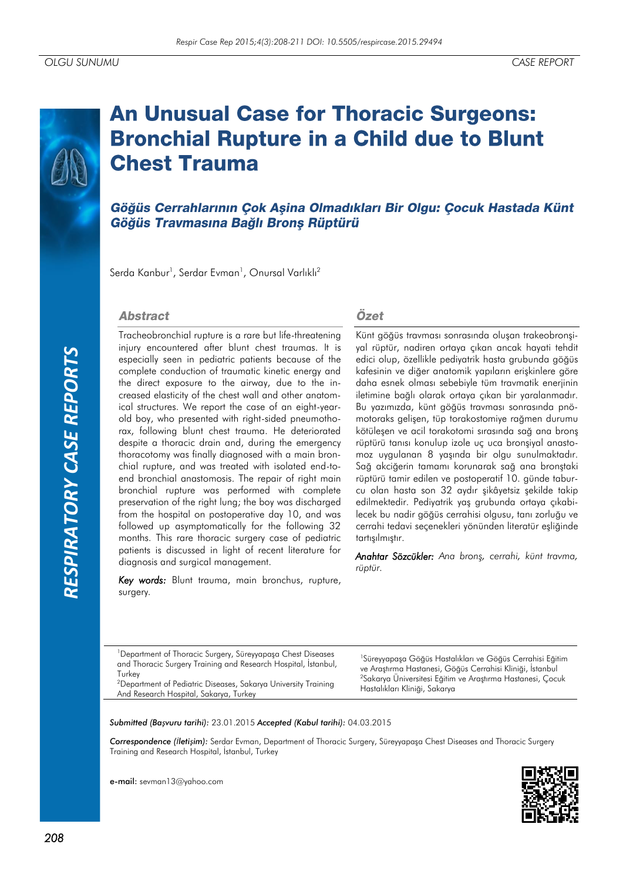# **An Unusual Case for Thoracic Surgeons: Bronchial Rupture in a Child due to Blunt Chest Trauma**

Göğüs Cerrahlarının Çok Aşina Olmadıkları Bir Olgu: Çocuk Hastada Künt Göğüs Travmasına Bağlı Bronş Rüptürü

Serda Kanbur<sup>1</sup>, Serdar Evman<sup>1</sup>, Onursal Varlıklı<sup>2</sup>

#### **Abstract**

Tracheobronchial rupture is a rare but life-threatening injury encountered after blunt chest traumas. It is especially seen in pediatric patients because of the complete conduction of traumatic kinetic energy and the direct exposure to the airway, due to the increased elasticity of the chest wall and other anatomical structures. We report the case of an eight-yearold boy, who presented with right-sided pneumothorax, following blunt chest trauma. He deteriorated despite a thoracic drain and, during the emergency thoracotomy was finally diagnosed with a main bronchial rupture, and was treated with isolated end-toend bronchial anastomosis. The repair of right main bronchial rupture was performed with complete preservation of the right lung; the boy was discharged from the hospital on postoperative day 10, and was followed up asymptomatically for the following 32 months. This rare thoracic surgery case of pediatric patients is discussed in light of recent literature for diagnosis and surgical management.

*Key words:* Blunt trauma, main bronchus, rupture, surgery*.*

#### Özet

Künt göğüs travması sonrasında oluşan trakeobronşiyal rüptür, nadiren ortaya çıkan ancak hayati tehdit edici olup, özellikle pediyatrik hasta grubunda göğüs kafesinin ve diğer anatomik yapıların erişkinlere göre daha esnek olması sebebiyle tüm travmatik enerjinin iletimine bağlı olarak ortaya çıkan bir yaralanmadır. Bu yazımızda, künt göğüs travması sonrasında pnömotoraks gelişen, tüp torakostomiye rağmen durumu kötüleşen ve acil torakotomi sırasında sağ ana bronş rüptürü tanısı konulup izole uç uca bronşiyal anastomoz uygulanan 8 yaşında bir olgu sunulmaktadır. Sağ akciğerin tamamı korunarak sağ ana bronştaki rüptürü tamir edilen ve postoperatif 10. günde taburcu olan hasta son 32 aydır şikâyetsiz şekilde takip edilmektedir. Pediyatrik yaş grubunda ortaya çıkabilecek bu nadir göğüs cerrahisi olgusu, tanı zorluğu ve cerrahi tedavi seçenekleri yönünden literatür eşliğinde tartışılmıştır.

*Anahtar Sözcükler: Ana bronş, cerrahi, künt travma, rüptür.*

<sup>1</sup>Department of Thoracic Surgery, Süreyyapaşa Chest Diseases and Thoracic Surgery Training and Research Hospital, İstanbul, **Turkey** <sup>2</sup>Department of Pediatric Diseases, Sakarya University Training

<sup>1</sup>Süreyyapaşa Göğüs Hastalıkları ve Göğüs Cerrahisi Eğitim ve Araştırma Hastanesi, Göğüs Cerrahisi Kliniği, İstanbul <sup>2</sup>Sakarya Üniversitesi Eğitim ve Araştırma Hastanesi, Çocuk Hastalıkları Kliniği, Sakarya

*Submitted (Başvuru tarihi):* 23.01.2015 *Accepted (Kabul tarihi):* 04.03.2015

*Correspondence (İletişim):* Serdar Evman, Department of Thoracic Surgery, Süreyyapaşa Chest Diseases and Thoracic Surgery Training and Research Hospital, İstanbul, Turkey

e-mail: sevman13@yahoo.com

And Research Hospital, Sakarya, Turkey

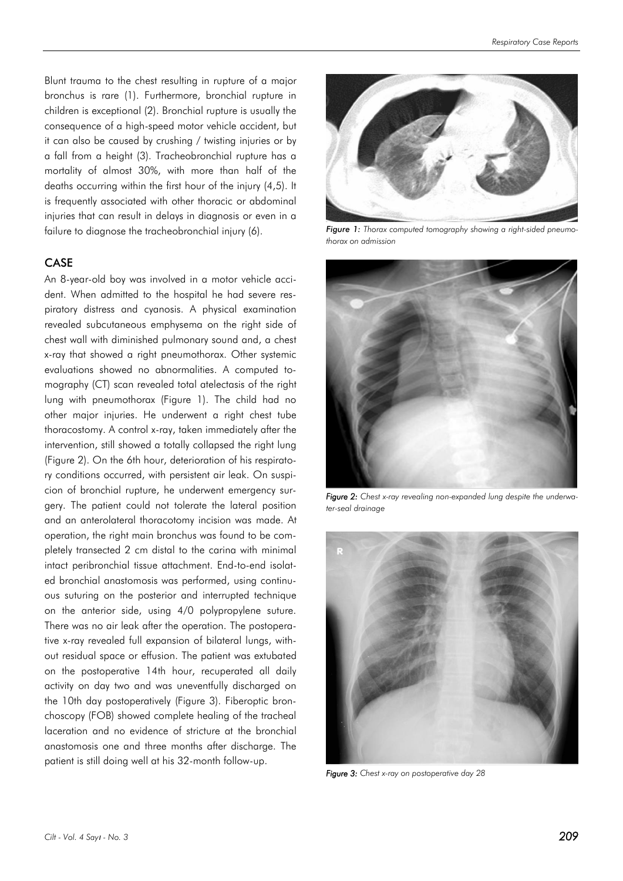Blunt trauma to the chest resulting in rupture of a major bronchus is rare (1). Furthermore, bronchial rupture in children is exceptional (2). Bronchial rupture is usually the consequence of a high-speed motor vehicle accident, but it can also be caused by crushing / twisting injuries or by a fall from a height (3). Tracheobronchial rupture has a mortality of almost 30%, with more than half of the deaths occurring within the first hour of the injury (4,5). It is frequently associated with other thoracic or abdominal injuries that can result in delays in diagnosis or even in a failure to diagnose the tracheobronchial injury (6).

#### CASE

An 8-year-old boy was involved in a motor vehicle accident. When admitted to the hospital he had severe respiratory distress and cyanosis. A physical examination revealed subcutaneous emphysema on the right side of chest wall with diminished pulmonary sound and, a chest x-ray that showed a right pneumothorax. Other systemic evaluations showed no abnormalities. A computed tomography (CT) scan revealed total atelectasis of the right lung with pneumothorax (Figure 1). The child had no other major injuries. He underwent a right chest tube thoracostomy. A control x-ray, taken immediately after the intervention, still showed a totally collapsed the right lung (Figure 2). On the 6th hour, deterioration of his respiratory conditions occurred, with persistent air leak. On suspicion of bronchial rupture, he underwent emergency surgery. The patient could not tolerate the lateral position and an anterolateral thoracotomy incision was made. At operation, the right main bronchus was found to be completely transected 2 cm distal to the carina with minimal intact peribronchial tissue attachment. End-to-end isolated bronchial anastomosis was performed, using continuous suturing on the posterior and interrupted technique on the anterior side, using 4/0 polypropylene suture. There was no air leak after the operation. The postoperative x-ray revealed full expansion of bilateral lungs, without residual space or effusion. The patient was extubated on the postoperative 14th hour, recuperated all daily activity on day two and was uneventfully discharged on the 10th day postoperatively (Figure 3). Fiberoptic bronchoscopy (FOB) showed complete healing of the tracheal laceration and no evidence of stricture at the bronchial anastomosis one and three months after discharge. The patient is still doing well at his 32-month follow-up.



*Figure 1: Thorax computed tomography showing a right-sided pneumothorax on admission*



*Figure 2: Chest x-ray revealing non-expanded lung despite the underwater-seal drainage*



*Figure 3: Chest x-ray on postoperative day 28*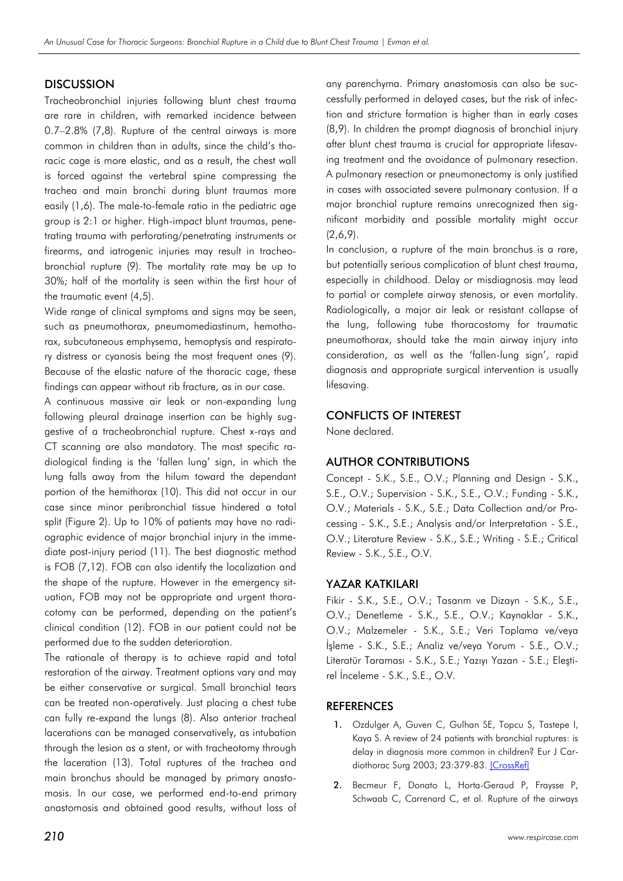#### **DISCUSSION**

Tracheobronchial injuries following blunt chest trauma are rare in children, with remarked incidence between 0.7–2.8% (7,8). Rupture of the central airways is more common in children than in adults, since the child's thoracic cage is more elastic, and as a result, the chest wall is forced against the vertebral spine compressing the trachea and main bronchi during blunt traumas more easily (1,6). The male-to-female ratio in the pediatric age group is 2:1 or higher. High-impact blunt traumas, penetrating trauma with perforating/penetrating instruments or firearms, and iatrogenic injuries may result in tracheobronchial rupture (9). The mortality rate may be up to 30%; half of the mortality is seen within the first hour of the traumatic event (4,5).

Wide range of clinical symptoms and signs may be seen, such as pneumothorax, pneumomediastinum, hemothorax, subcutaneous emphysema, hemoptysis and respiratory distress or cyanosis being the most frequent ones (9). Because of the elastic nature of the thoracic cage, these findings can appear without rib fracture, as in our case.

A continuous massive air leak or non-expanding lung following pleural drainage insertion can be highly suggestive of a tracheobronchial rupture. Chest x-rays and CT scanning are also mandatory. The most specific radiological finding is the 'fallen lung' sign, in which the lung falls away from the hilum toward the dependant portion of the hemithorax (10). This did not occur in our case since minor peribronchial tissue hindered a total split (Figure 2). Up to 10% of patients may have no radiographic evidence of major bronchial injury in the immediate post-injury period (11). The best diagnostic method is FOB (7,12). FOB can also identify the localization and the shape of the rupture. However in the emergency situation, FOB may not be appropriate and urgent thoracotomy can be performed, depending on the patient's clinical condition (12). FOB in our patient could not be performed due to the sudden deterioration.

The rationale of therapy is to achieve rapid and total restoration of the airway. Treatment options vary and may be either conservative or surgical. Small bronchial tears can be treated non-operatively. Just placing a chest tube can fully re-expand the lungs (8). Also anterior tracheal lacerations can be managed conservatively, as intubation through the lesion as a stent, or with tracheotomy through the laceration (13). Total ruptures of the trachea and main bronchus should be managed by primary anastomosis. In our case, we performed end-to-end primary anastomosis and obtained good results, without loss of

any parenchyma. Primary anastomosis can also be successfully performed in delayed cases, but the risk of infection and stricture formation is higher than in early cases (8,9). In children the prompt diagnosis of bronchial injury after blunt chest trauma is crucial for appropriate lifesaving treatment and the avoidance of pulmonary resection. A pulmonary resection or pneumonectomy is only justified in cases with associated severe pulmonary contusion. If a major bronchial rupture remains unrecognized then significant morbidity and possible mortality might occur  $(2,6,9)$ .

In conclusion, a rupture of the main bronchus is a rare, but potentially serious complication of blunt chest trauma, especially in childhood. Delay or misdiagnosis may lead to partial or complete airway stenosis, or even mortality. Radiologically, a major air leak or resistant collapse of the lung, following tube thoracostomy for traumatic pneumothorax, should take the main airway injury into consideration, as well as the 'fallen-lung sign', rapid diagnosis and appropriate surgical intervention is usually lifesaving.

#### CONFLICTS OF INTEREST

None declared.

## AUTHOR CONTRIBUTIONS

Concept - S.K., S.E., O.V.; Planning and Design - S.K., S.E., O.V.; Supervision - S.K., S.E., O.V.; Funding - S.K., O.V.; Materials - S.K., S.E.; Data Collection and/or Processing - S.K., S.E.; Analysis and/or Interpretation - S.E., O.V.; Literature Review - S.K., S.E.; Writing - S.E.; Critical Review - S.K., S.E., O.V.

## YAZAR KATKILARI

Fikir - S.K., S.E., O.V.; Tasarım ve Dizayn - S.K., S.E., O.V.; Denetleme - S.K., S.E., O.V.; Kaynaklar - S.K., O.V.; Malzemeler - S.K., S.E.; Veri Toplama ve/veya İşleme - S.K., S.E.; Analiz ve/veya Yorum - S.E., O.V.; Literatür Taraması - S.K., S.E.; Yazıyı Yazan - S.E.; Eleştirel İnceleme - S.K., S.E., O.V.

## **REFERENCES**

- 1. Ozdulger A, Guven C, Gulhan SE, Topcu S, Tastepe I, Kaya S. A review of 24 patients with bronchial ruptures: is delay in diagnosis more common in children? Eur J Car-diothorac Surg 2003; 23:379-83. [\[CrossRef\]](http://dx.doi.org/10.1016/s1010-7940(02)00754-6)
- 2. Becmeur F, Donato L, Horta-Geraud P, Fraysse P, Schwaab C, Carrenard C, et al. Rupture of the airways